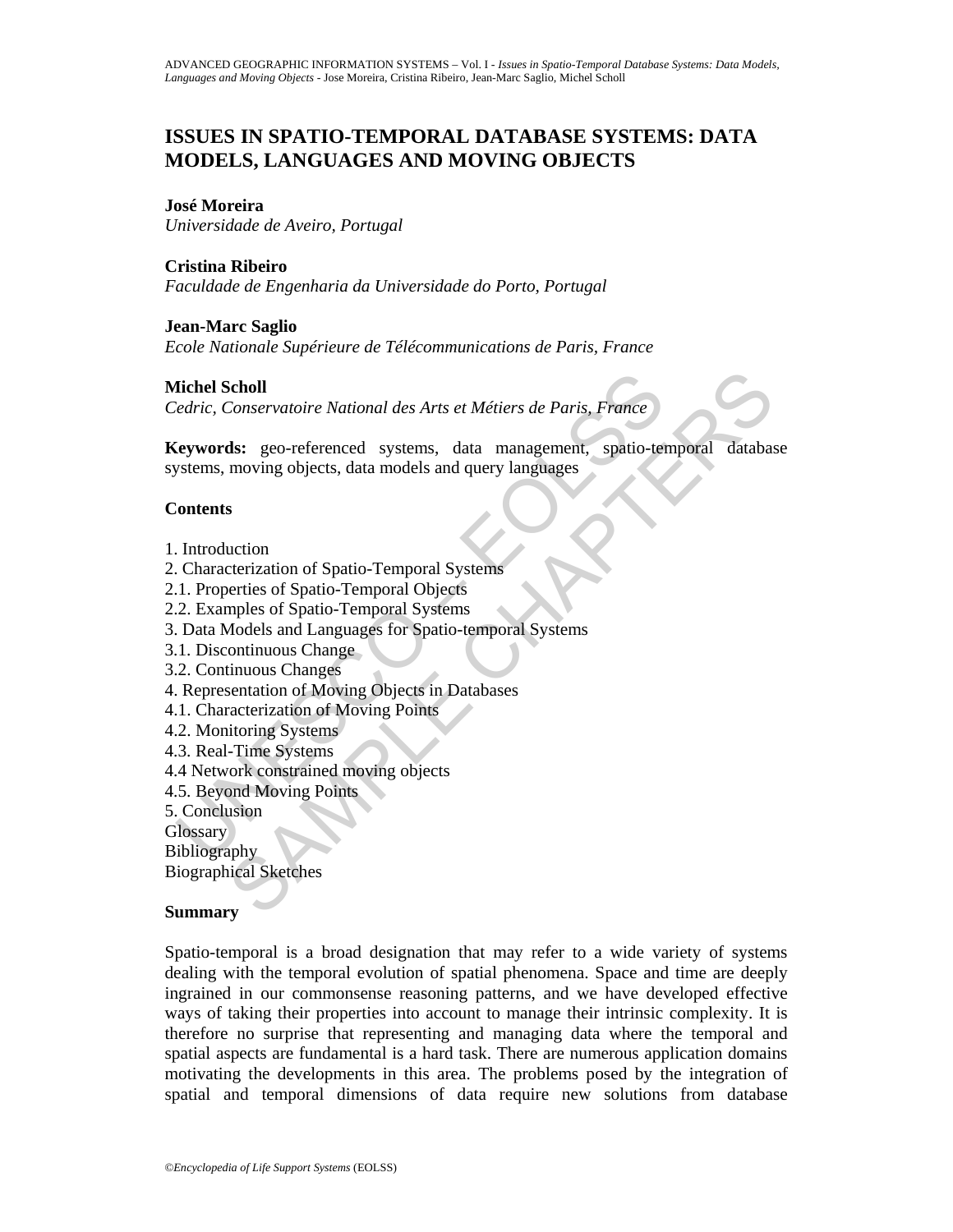# **ISSUES IN SPATIO-TEMPORAL DATABASE SYSTEMS: DATA MODELS, LANGUAGES AND MOVING OBJECTS**

#### **José Moreira**

*Universidade de Aveiro, Portugal* 

## **Cristina Ribeiro**

*Faculdade de Engenharia da Universidade do Porto, Portugal* 

## **Jean-Marc Saglio**

*Ecole Nationale Supérieure de Télécommunications de Paris, France* 

## **Michel Scholl**

*Cedric, Conservatoire National des Arts et Métiers de Paris, France* 

**State Scholl**<br>
Vedric, Conservatoire National des Arts et Métiers de Paris, France<br> **Expandition**: geo-referenced systems, data management, spatio-ters<br>
systems, moving objects, data models and query languages<br>
Sontents<br> Scholl<br>
Scholl<br>
Conservatoire National des Arts et Métiers de Paris, France<br>
18: geo-referenced systems, data management, spatio-temporal databas<br>
moving objects, data models and query languages<br>
s<br>
s<br>
s<br>
tectization of Sp **Keywords:** geo-referenced systems, data management, spatio-temporal database systems, moving objects, data models and query languages

## **Contents**

- 1. Introduction
- 2. Characterization of Spatio-Temporal Systems
- 2.1. Properties of Spatio-Temporal Objects
- 2.2. Examples of Spatio-Temporal Systems
- 3. Data Models and Languages for Spatio-temporal Systems
- 3.1. Discontinuous Change
- 3.2. Continuous Changes
- 4. Representation of Moving Objects in Databases
- 4.1. Characterization of Moving Points
- 4.2. Monitoring Systems
- 4.3. Real-Time Systems
- 4.4 Network constrained moving objects
- 4.5. Beyond Moving Points
- 5. Conclusion
- **Glossary**

**Bibliography** 

Biographical Sketches

## **Summary**

Spatio-temporal is a broad designation that may refer to a wide variety of systems dealing with the temporal evolution of spatial phenomena. Space and time are deeply ingrained in our commonsense reasoning patterns, and we have developed effective ways of taking their properties into account to manage their intrinsic complexity. It is therefore no surprise that representing and managing data where the temporal and spatial aspects are fundamental is a hard task. There are numerous application domains motivating the developments in this area. The problems posed by the integration of spatial and temporal dimensions of data require new solutions from database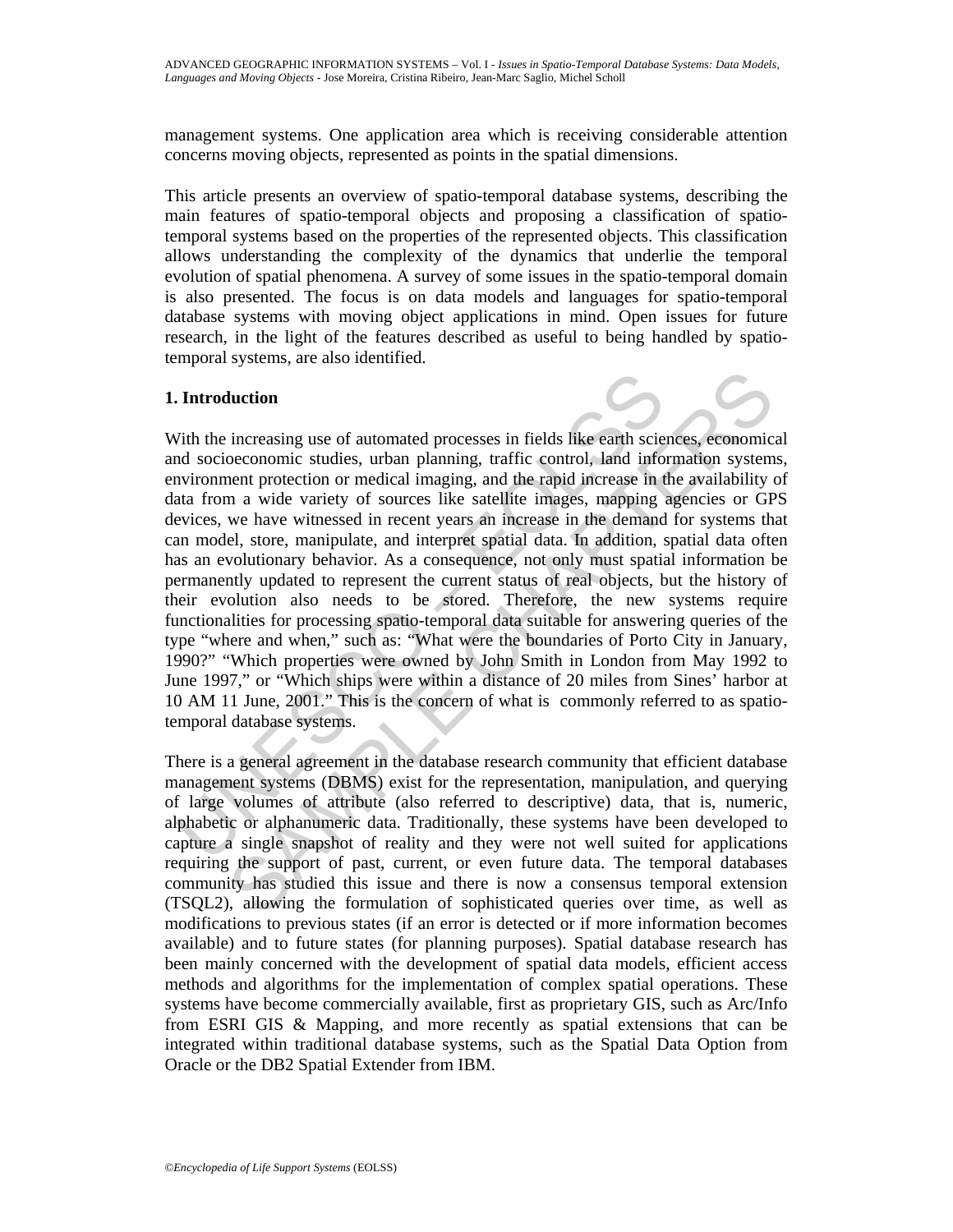management systems. One application area which is receiving considerable attention concerns moving objects, represented as points in the spatial dimensions.

This article presents an overview of spatio-temporal database systems, describing the main features of spatio-temporal objects and proposing a classification of spatiotemporal systems based on the properties of the represented objects. This classification allows understanding the complexity of the dynamics that underlie the temporal evolution of spatial phenomena. A survey of some issues in the spatio-temporal domain is also presented. The focus is on data models and languages for spatio-temporal database systems with moving object applications in mind. Open issues for future research, in the light of the features described as useful to being handled by spatiotemporal systems, are also identified.

## **1. Introduction**

**Introduction**<br>
Vith the increasing use of automated processes in fields like earth scienting and socioeconomic studies, urban planning, traffic control, land info<br>
novironment protection or medical imaging, and the rapid Interior increasing use of automated processes in fields like earth sciences, economic<br>conconomic studies, urban planning, traffic control, land information system<br>nent protection or medical imaging, and the rapid increase With the increasing use of automated processes in fields like earth sciences, economical and socioeconomic studies, urban planning, traffic control, land information systems, environment protection or medical imaging, and the rapid increase in the availability of data from a wide variety of sources like satellite images, mapping agencies or GPS devices, we have witnessed in recent years an increase in the demand for systems that can model, store, manipulate, and interpret spatial data. In addition, spatial data often has an evolutionary behavior. As a consequence, not only must spatial information be permanently updated to represent the current status of real objects, but the history of their evolution also needs to be stored. Therefore, the new systems require functionalities for processing spatio-temporal data suitable for answering queries of the type "where and when," such as: "What were the boundaries of Porto City in January, 1990?" "Which properties were owned by John Smith in London from May 1992 to June 1997," or "Which ships were within a distance of 20 miles from Sines' harbor at 10 AM 11 June, 2001." This is the concern of what is commonly referred to as spatiotemporal database systems.

There is a general agreement in the database research community that efficient database management systems (DBMS) exist for the representation, manipulation, and querying of large volumes of attribute (also referred to descriptive) data, that is, numeric, alphabetic or alphanumeric data. Traditionally, these systems have been developed to capture a single snapshot of reality and they were not well suited for applications requiring the support of past, current, or even future data. The temporal databases community has studied this issue and there is now a consensus temporal extension (TSQL2), allowing the formulation of sophisticated queries over time, as well as modifications to previous states (if an error is detected or if more information becomes available) and to future states (for planning purposes). Spatial database research has been mainly concerned with the development of spatial data models, efficient access methods and algorithms for the implementation of complex spatial operations. These systems have become commercially available, first as proprietary GIS, such as Arc/Info from ESRI GIS & Mapping, and more recently as spatial extensions that can be integrated within traditional database systems, such as the Spatial Data Option from Oracle or the DB2 Spatial Extender from IBM.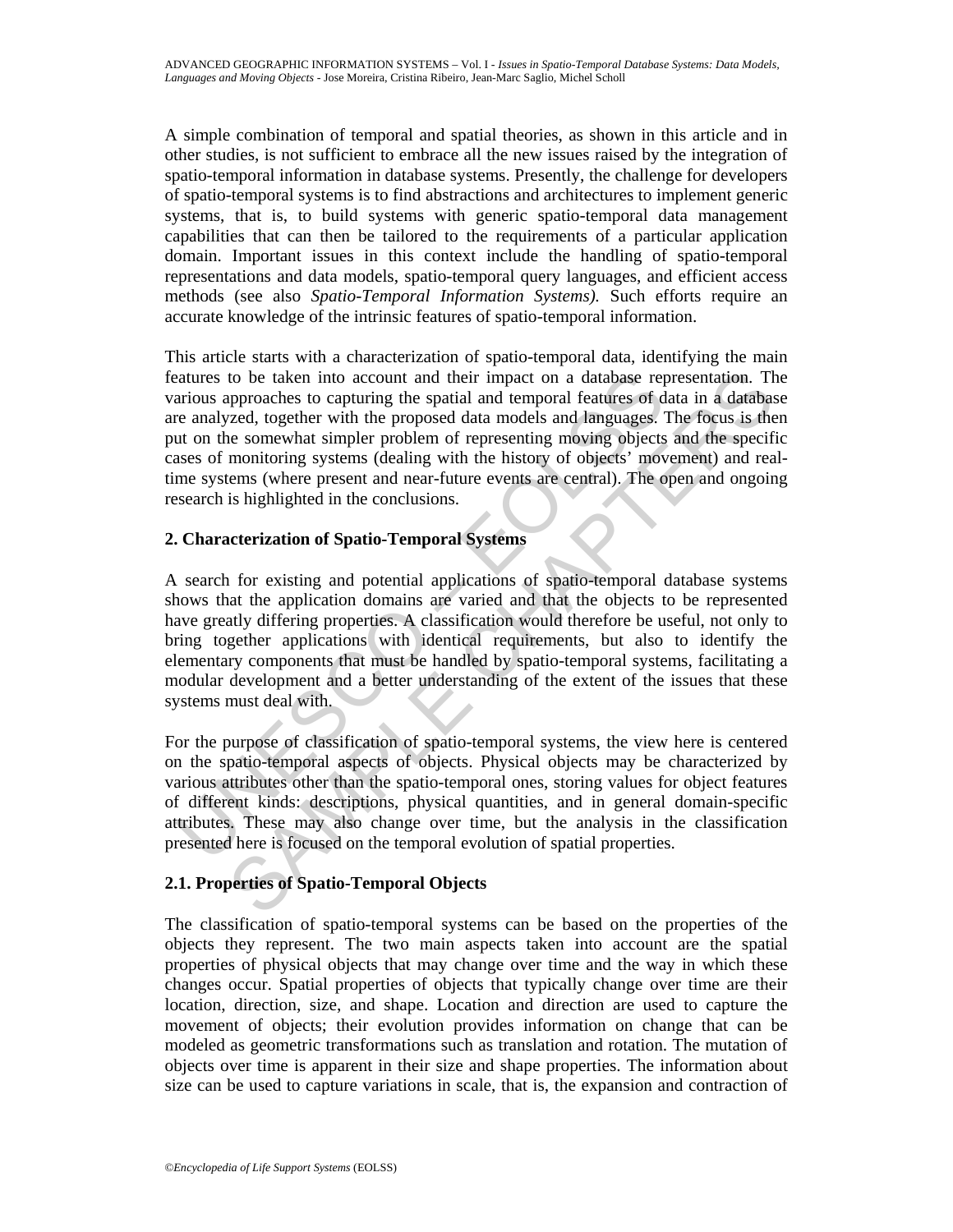A simple combination of temporal and spatial theories, as shown in this article and in other studies, is not sufficient to embrace all the new issues raised by the integration of spatio-temporal information in database systems. Presently, the challenge for developers of spatio-temporal systems is to find abstractions and architectures to implement generic systems, that is, to build systems with generic spatio-temporal data management capabilities that can then be tailored to the requirements of a particular application domain. Important issues in this context include the handling of spatio-temporal representations and data models, spatio-temporal query languages, and efficient access methods (see also *Spatio-Temporal Information Systems).* Such efforts require an accurate knowledge of the intrinsic features of spatio-temporal information.

This article starts with a characterization of spatio-temporal data, identifying the main features to be taken into account and their impact on a database representation. The various approaches to capturing the spatial and temporal features of data in a database are analyzed, together with the proposed data models and languages. The focus is then put on the somewhat simpler problem of representing moving objects and the specific cases of monitoring systems (dealing with the history of objects' movement) and realtime systems (where present and near-future events are central). The open and ongoing research is highlighted in the conclusions.

## **2. Characterization of Spatio-Temporal Systems**

catures to be taken into account and their impact on a database reprioring the spacial and temporal features of denotes and an explored data models and temporal features of duration of the proposed data models and tanguage to be taken into account and their impact on a database representation. The<br>proproachs to capturing the spailal and temporal features of data in a database<br>resome to capturing the spailal and temporal features of data in a A search for existing and potential applications of spatio-temporal database systems shows that the application domains are varied and that the objects to be represented have greatly differing properties. A classification would therefore be useful, not only to bring together applications with identical requirements, but also to identify the elementary components that must be handled by spatio-temporal systems, facilitating a modular development and a better understanding of the extent of the issues that these systems must deal with.

For the purpose of classification of spatio-temporal systems, the view here is centered on the spatio-temporal aspects of objects. Physical objects may be characterized by various attributes other than the spatio-temporal ones, storing values for object features of different kinds: descriptions, physical quantities, and in general domain-specific attributes. These may also change over time, but the analysis in the classification presented here is focused on the temporal evolution of spatial properties.

## **2.1. Properties of Spatio-Temporal Objects**

The classification of spatio-temporal systems can be based on the properties of the objects they represent. The two main aspects taken into account are the spatial properties of physical objects that may change over time and the way in which these changes occur. Spatial properties of objects that typically change over time are their location, direction, size, and shape. Location and direction are used to capture the movement of objects; their evolution provides information on change that can be modeled as geometric transformations such as translation and rotation. The mutation of objects over time is apparent in their size and shape properties. The information about size can be used to capture variations in scale, that is, the expansion and contraction of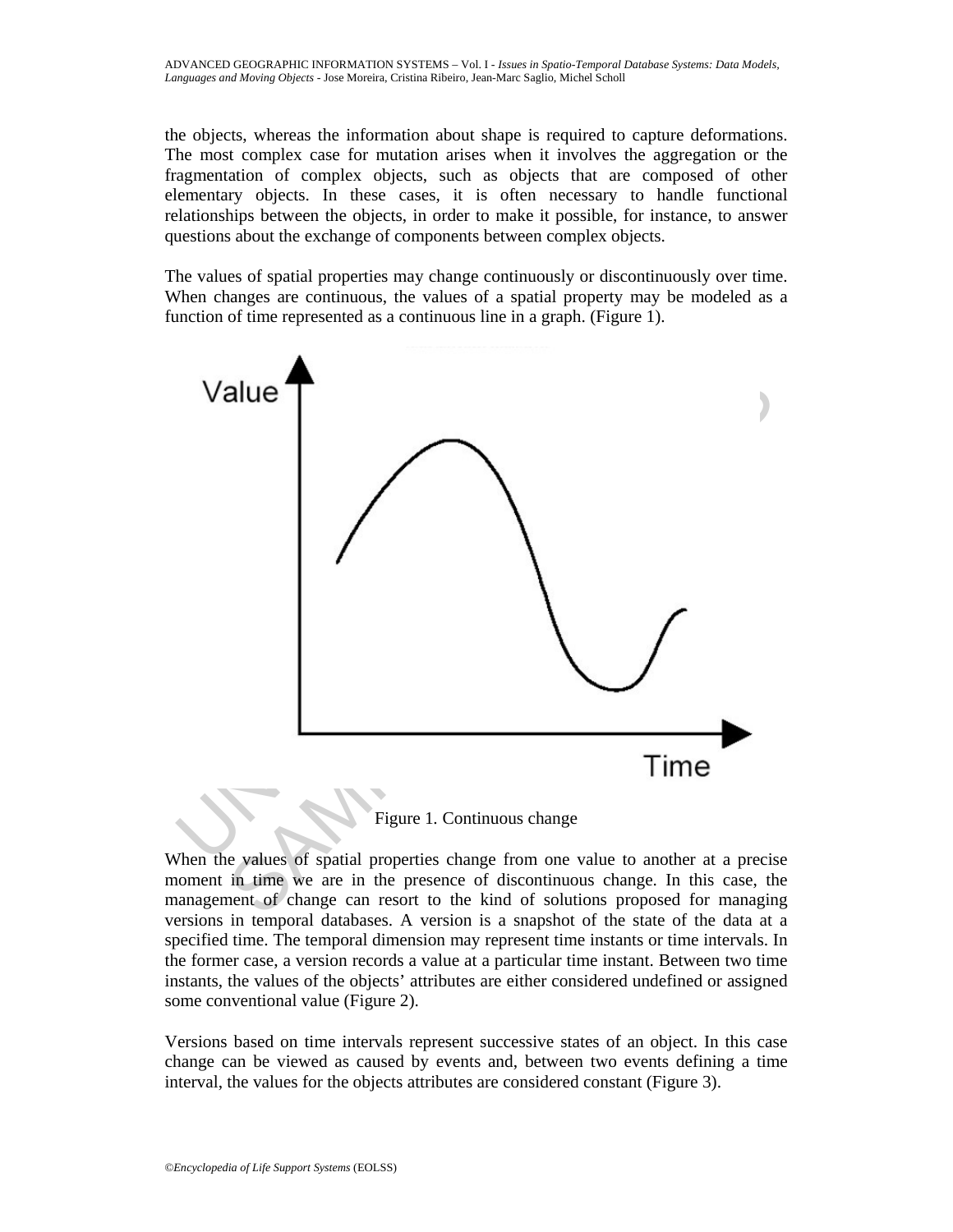the objects, whereas the information about shape is required to capture deformations. The most complex case for mutation arises when it involves the aggregation or the fragmentation of complex objects, such as objects that are composed of other elementary objects. In these cases, it is often necessary to handle functional relationships between the objects, in order to make it possible, for instance, to answer questions about the exchange of components between complex objects.

The values of spatial properties may change continuously or discontinuously over time. When changes are continuous, the values of a spatial property may be modeled as a function of time represented as a continuous line in a graph. (Figure 1).



When the values of spatial properties change from one value to another at a precise moment in time we are in the presence of discontinuous change. In this case, the management of change can resort to the kind of solutions proposed for managing versions in temporal databases. A version is a snapshot of the state of the data at a specified time. The temporal dimension may represent time instants or time intervals. In the former case, a version records a value at a particular time instant. Between two time instants, the values of the objects' attributes are either considered undefined or assigned some conventional value (Figure 2).

Versions based on time intervals represent successive states of an object. In this case change can be viewed as caused by events and, between two events defining a time interval, the values for the objects attributes are considered constant (Figure 3).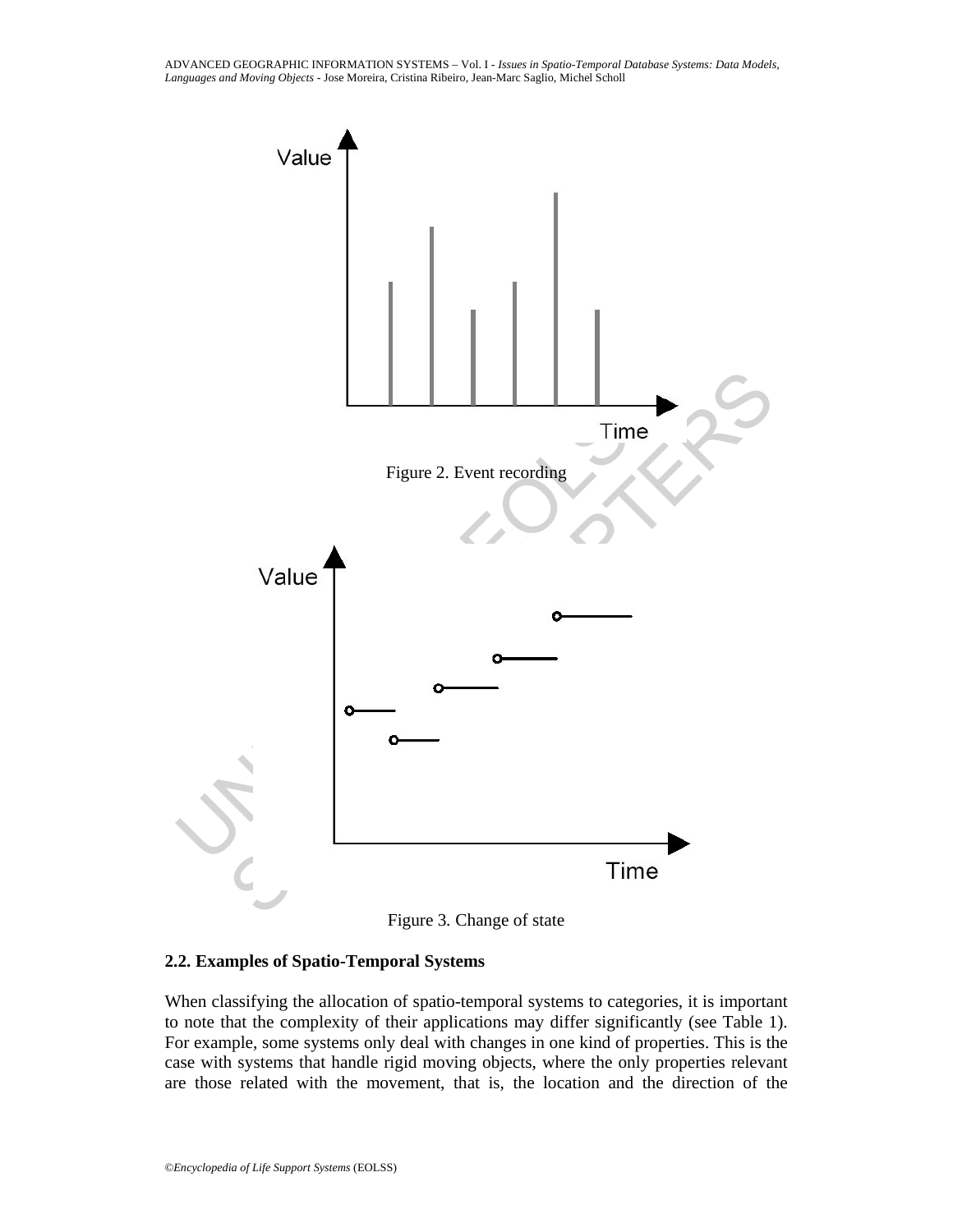ADVANCED GEOGRAPHIC INFORMATION SYSTEMS – Vol. I - *Issues in Spatio-Temporal Database Systems: Data Models, Languages and Moving Objects* - Jose Moreira, Cristina Ribeiro, Jean-Marc Saglio, Michel Scholl





#### **2.2. Examples of Spatio-Temporal Systems**

When classifying the allocation of spatio-temporal systems to categories, it is important to note that the complexity of their applications may differ significantly (see Table 1). For example, some systems only deal with changes in one kind of properties. This is the case with systems that handle rigid moving objects, where the only properties relevant are those related with the movement, that is, the location and the direction of the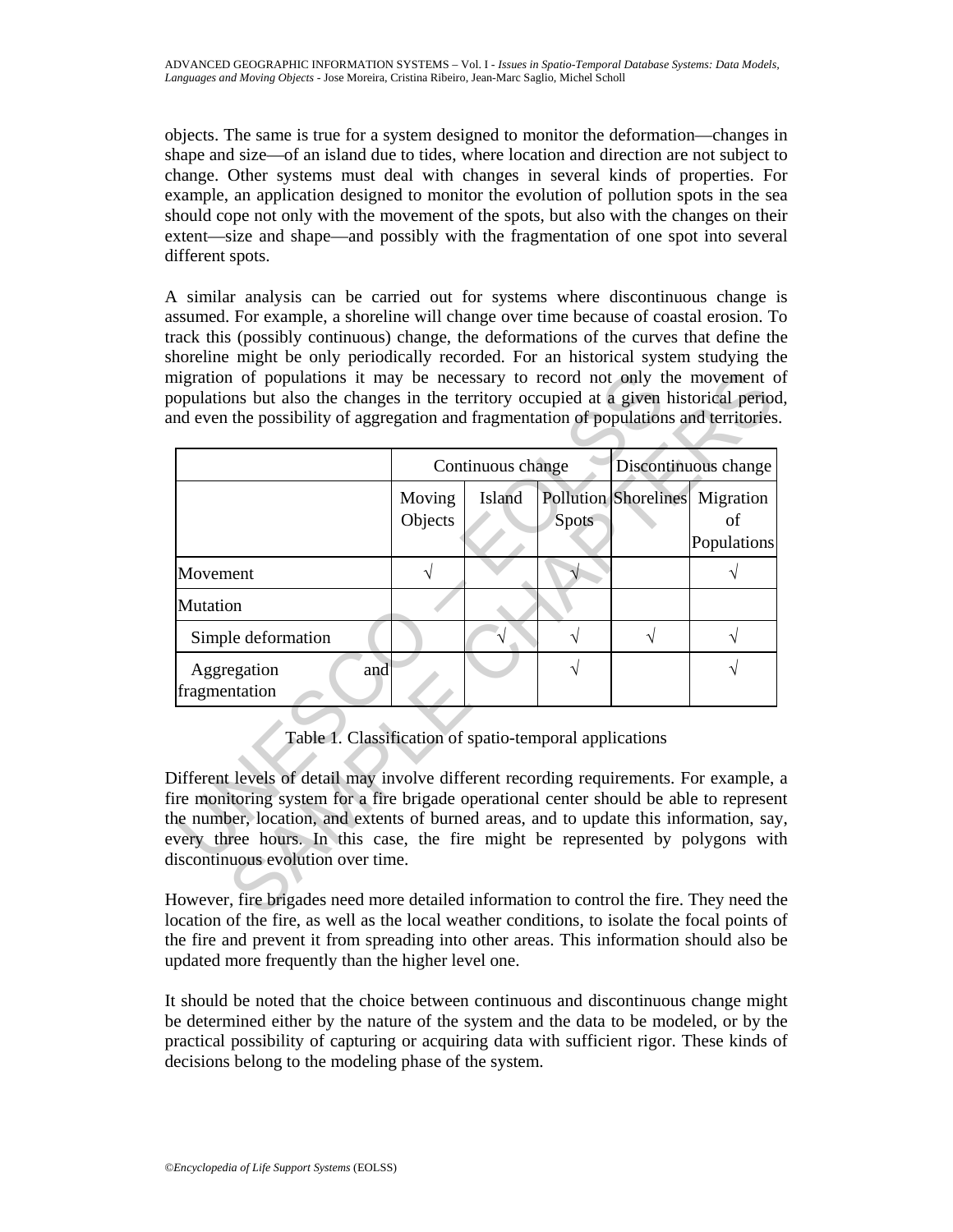objects. The same is true for a system designed to monitor the deformation—changes in shape and size—of an island due to tides, where location and direction are not subject to change. Other systems must deal with changes in several kinds of properties. For example, an application designed to monitor the evolution of pollution spots in the sea should cope not only with the movement of the spots, but also with the changes on their extent—size and shape—and possibly with the fragmentation of one spot into several different spots.

A similar analysis can be carried out for systems where discontinuous change is assumed. For example, a shoreline will change over time because of coastal erosion. To track this (possibly continuous) change, the deformations of the curves that define the shoreline might be only periodically recorded. For an historical system studying the migration of populations it may be necessary to record not only the movement of populations but also the changes in the territory occupied at a given historical period, and even the possibility of aggregation and fragmentation of populations and territories.

|                                                                                                                                                                                                                                                                                                                                                                                                                                                             | Continuous change |        |       | Discontinuous change |                                                     |
|-------------------------------------------------------------------------------------------------------------------------------------------------------------------------------------------------------------------------------------------------------------------------------------------------------------------------------------------------------------------------------------------------------------------------------------------------------------|-------------------|--------|-------|----------------------|-----------------------------------------------------|
|                                                                                                                                                                                                                                                                                                                                                                                                                                                             | Moving<br>Objects | Island | Spots |                      | Pollution Shorelines Migration<br>of<br>Populations |
| Movement                                                                                                                                                                                                                                                                                                                                                                                                                                                    |                   |        |       |                      |                                                     |
| Mutation                                                                                                                                                                                                                                                                                                                                                                                                                                                    |                   |        |       |                      |                                                     |
| Simple deformation                                                                                                                                                                                                                                                                                                                                                                                                                                          |                   |        |       |                      | V                                                   |
| Aggregation<br>and<br>fragmentation                                                                                                                                                                                                                                                                                                                                                                                                                         |                   |        |       |                      |                                                     |
| Table 1. Classification of spatio-temporal applications<br>Different levels of detail may involve different recording requirements. For example,<br>ire monitoring system for a fire brigade operational center should be able to represer<br>he number, location, and extents of burned areas, and to update this information, say<br>every three hours. In this case, the fire might be represented by polygons wit<br>liscontinuous evolution over time. |                   |        |       |                      |                                                     |

However, fire brigades need more detailed information to control the fire. They need the location of the fire, as well as the local weather conditions, to isolate the focal points of the fire and prevent it from spreading into other areas. This information should also be updated more frequently than the higher level one.

It should be noted that the choice between continuous and discontinuous change might be determined either by the nature of the system and the data to be modeled, or by the practical possibility of capturing or acquiring data with sufficient rigor. These kinds of decisions belong to the modeling phase of the system.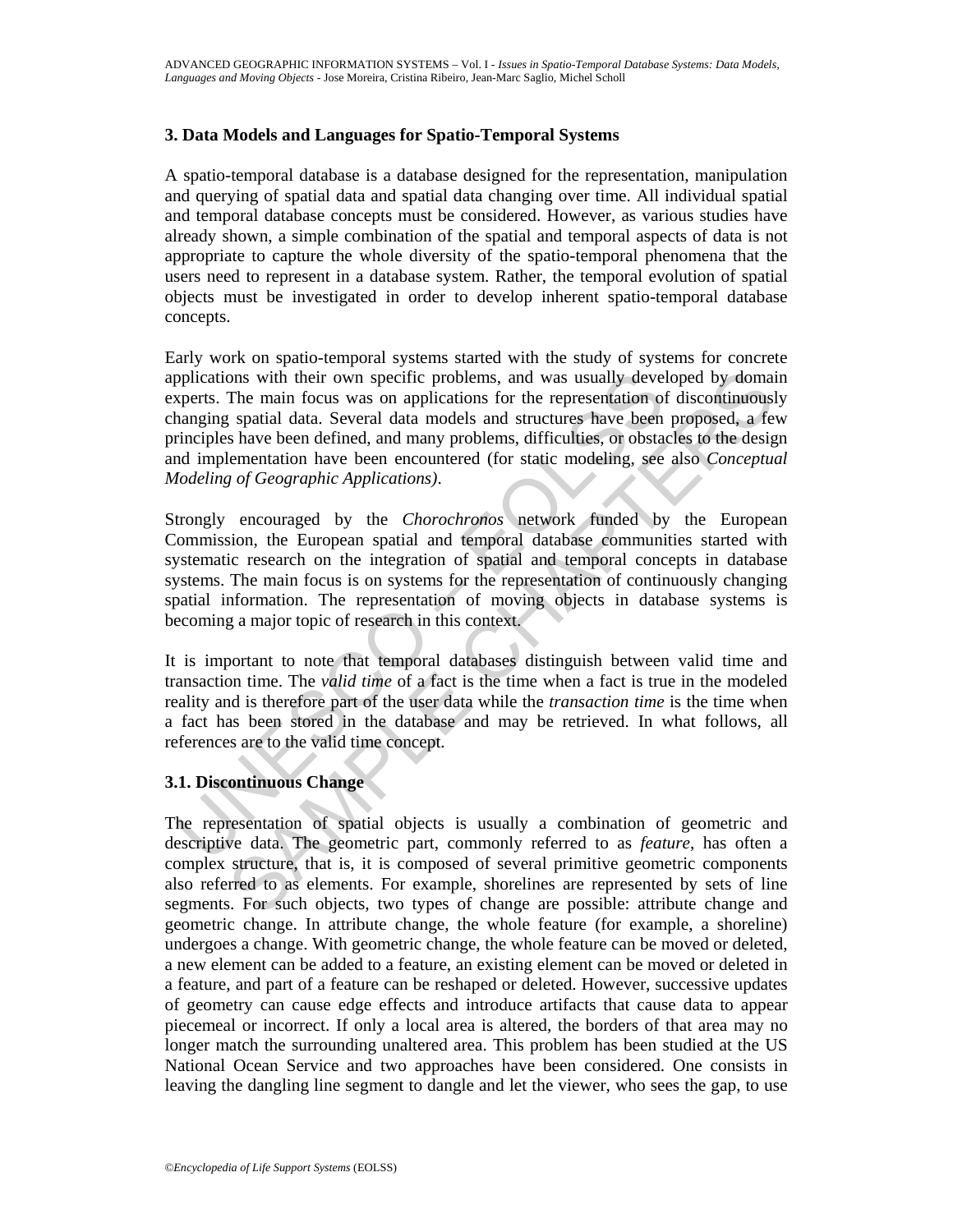## **3. Data Models and Languages for Spatio-Temporal Systems**

A spatio-temporal database is a database designed for the representation, manipulation and querying of spatial data and spatial data changing over time. All individual spatial and temporal database concepts must be considered. However, as various studies have already shown, a simple combination of the spatial and temporal aspects of data is not appropriate to capture the whole diversity of the spatio-temporal phenomena that the users need to represent in a database system. Rather, the temporal evolution of spatial objects must be investigated in order to develop inherent spatio-temporal database concepts.

ons with their own specific problems, and was usually developed by domain<br>The main focus was on applications for the representation of discontinuously<br>spatial data. Several data models and structures have been proposed, a Early work on spatio-temporal systems started with the study of systems for concrete applications with their own specific problems, and was usually developed by domain experts. The main focus was on applications for the representation of discontinuously changing spatial data. Several data models and structures have been proposed, a few principles have been defined, and many problems, difficulties, or obstacles to the design and implementation have been encountered (for static modeling, see also *Conceptual Modeling of Geographic Applications)*.

pplications with their own specific problems, and was usually devel<br>pperts. The main focus was on applications for the representation of<br>hanging spatial data. Several data models and structures have been<br>irinciples have be Strongly encouraged by the *Chorochronos* network funded by the European Commission, the European spatial and temporal database communities started with systematic research on the integration of spatial and temporal concepts in database systems. The main focus is on systems for the representation of continuously changing spatial information. The representation of moving objects in database systems is becoming a major topic of research in this context.

It is important to note that temporal databases distinguish between valid time and transaction time. The *valid time* of a fact is the time when a fact is true in the modeled reality and is therefore part of the user data while the *transaction time* is the time when a fact has been stored in the database and may be retrieved. In what follows, all references are to the valid time concept.

## **3.1. Discontinuous Change**

The representation of spatial objects is usually a combination of geometric and descriptive data. The geometric part, commonly referred to as *feature*, has often a complex structure, that is, it is composed of several primitive geometric components also referred to as elements. For example, shorelines are represented by sets of line segments. For such objects, two types of change are possible: attribute change and geometric change. In attribute change, the whole feature (for example, a shoreline) undergoes a change. With geometric change, the whole feature can be moved or deleted, a new element can be added to a feature, an existing element can be moved or deleted in a feature, and part of a feature can be reshaped or deleted. However, successive updates of geometry can cause edge effects and introduce artifacts that cause data to appear piecemeal or incorrect. If only a local area is altered, the borders of that area may no longer match the surrounding unaltered area. This problem has been studied at the US National Ocean Service and two approaches have been considered. One consists in leaving the dangling line segment to dangle and let the viewer, who sees the gap, to use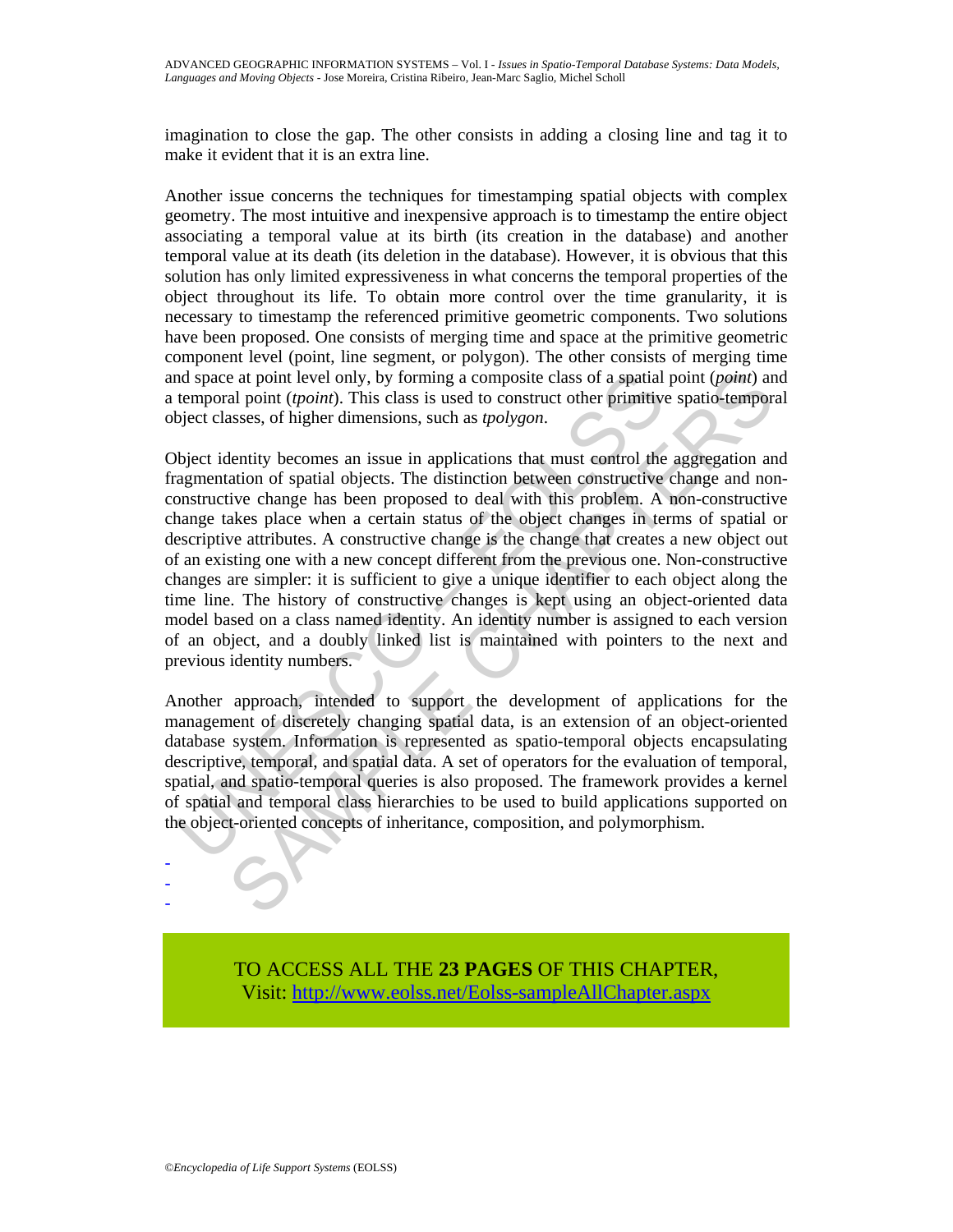imagination to close the gap. The other consists in adding a closing line and tag it to make it evident that it is an extra line.

Another issue concerns the techniques for timestamping spatial objects with complex geometry. The most intuitive and inexpensive approach is to timestamp the entire object associating a temporal value at its birth (its creation in the database) and another temporal value at its death (its deletion in the database). However, it is obvious that this solution has only limited expressiveness in what concerns the temporal properties of the object throughout its life. To obtain more control over the time granularity, it is necessary to timestamp the referenced primitive geometric components. Two solutions have been proposed. One consists of merging time and space at the primitive geometric component level (point, line segment, or polygon). The other consists of merging time and space at point level only, by forming a composite class of a spatial point (*point*) and a temporal point (*tpoint*). This class is used to construct other primitive spatio-temporal object classes, of higher dimensions, such as *tpolygon*.

and space at point level only, by forming a composite class of a spatial<br>temporal point (*tpoint*). This class is used to construct other primitive<br>bject classes, of higher dimensions, such as *tpolygon*.<br>by exit classes, e at point level only, by forming a composite class of a spatial point (*point*) an aloin (*tpoint*). This class is used to construct other primitive spatio-temporal asses, of higher dimensions, such as *polygon*.<br>Lentity Object identity becomes an issue in applications that must control the aggregation and fragmentation of spatial objects. The distinction between constructive change and nonconstructive change has been proposed to deal with this problem. A non-constructive change takes place when a certain status of the object changes in terms of spatial or descriptive attributes. A constructive change is the change that creates a new object out of an existing one with a new concept different from the previous one. Non-constructive changes are simpler: it is sufficient to give a unique identifier to each object along the time line. The history of constructive changes is kept using an object-oriented data model based on a class named identity. An identity number is assigned to each version of an object, and a doubly linked list is maintained with pointers to the next and previous identity numbers.

Another approach, intended to support the development of applications for the management of discretely changing spatial data, is an extension of an object-oriented database system. Information is represented as spatio-temporal objects encapsulating descriptive, temporal, and spatial data. A set of operators for the evaluation of temporal, spatial, and spatio-temporal queries is also proposed. The framework provides a kernel of spatial and temporal class hierarchies to be used to build applications supported on the object-oriented concepts of inheritance, composition, and polymorphism.

> TO ACCESS ALL THE **23 PAGES** OF THIS CHAPTER, Visit[: http://www.eolss.net/Eolss-sampleAllChapter.aspx](https://www.eolss.net/ebooklib/sc_cart.aspx?File=E6-72-01-07)

- - -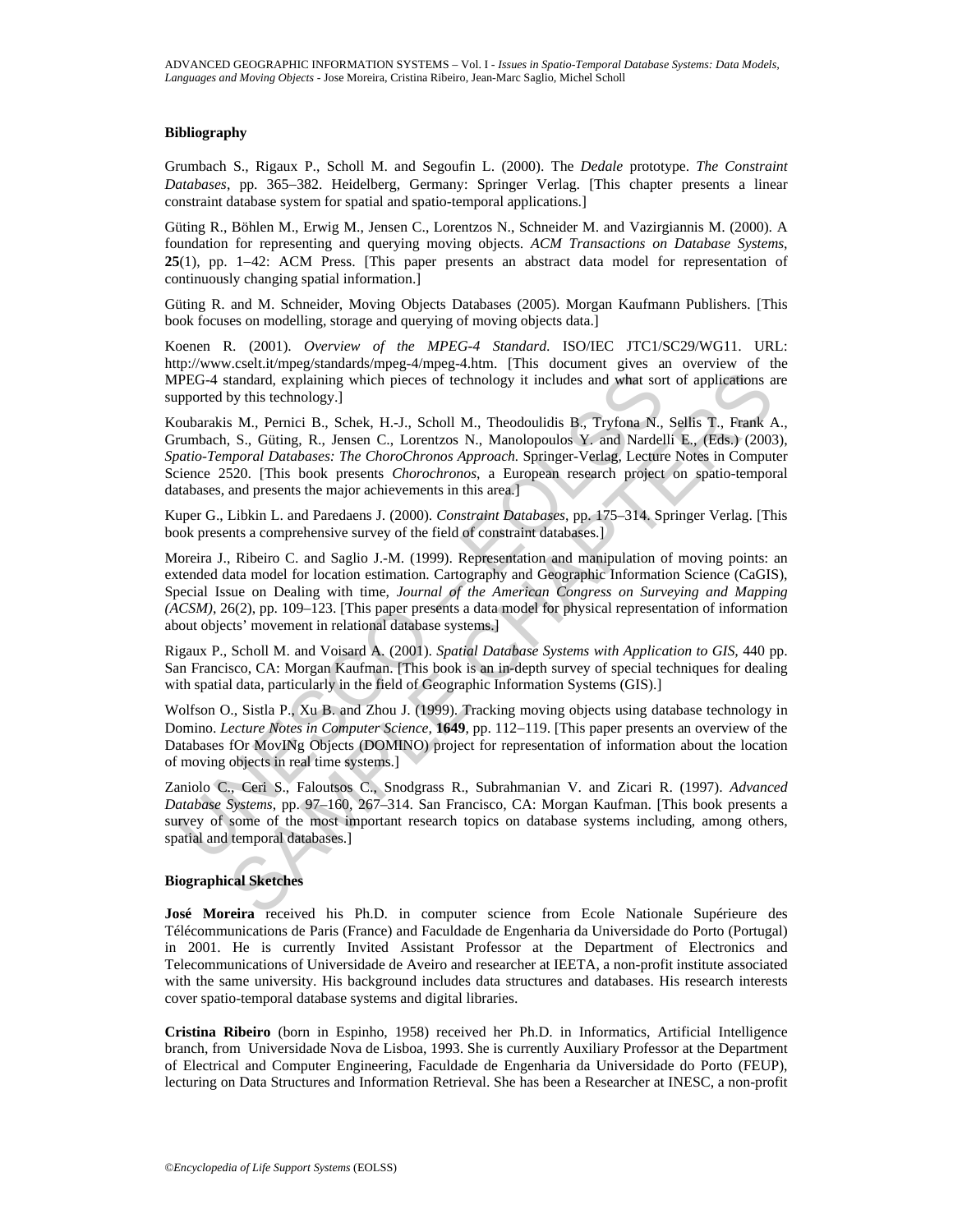#### **Bibliography**

Grumbach S., Rigaux P., Scholl M. and Segoufin L. (2000). The *Dedale* prototype. *The Constraint Databases*, pp. 365−382. Heidelberg, Germany: Springer Verlag. [This chapter presents a linear constraint database system for spatial and spatio-temporal applications.]

Güting R., Böhlen M., Erwig M., Jensen C., Lorentzos N., Schneider M. and Vazirgiannis M. (2000). A foundation for representing and querying moving objects. *ACM Transactions on Database Systems*, **25**(1), pp. 1−42: ACM Press. [This paper presents an abstract data model for representation of continuously changing spatial information.]

Güting R. and M. Schneider, Moving Objects Databases (2005). Morgan Kaufmann Publishers. [This book focuses on modelling, storage and querying of moving objects data.]

Koenen R. (2001). *Overview of the MPEG-4 Standard*. ISO/IEC JTC1/SC29/WG11. URL: http://www.cselt.it/mpeg/standards/mpeg-4/mpeg-4.htm. [This document gives an overview of the MPEG-4 standard, explaining which pieces of technology it includes and what sort of applications are supported by this technology.]

IPEG-4 standard, explaining which pieces of technology it includes and what sor<br>pported by this technology.]<br>oubarahis M., Pemici B., Schek, H.-J., Scholl M., Theodoulidis B., Tryfona N.,<br>numbach, S., Gütting, R., Jensen C itandard, explaining which pieces of technology it includes and what sort of applications a<br>tandard, explaining which pieces of technology it includes and what sort of applications a<br>s M. Permici B., Schek, H.-J., Scholl M Koubarakis M., Pernici B., Schek, H.-J., Scholl M., Theodoulidis B., Tryfona N., Sellis T., Frank A., Grumbach, S., Güting, R., Jensen C., Lorentzos N., Manolopoulos Y. and Nardelli E., (Eds.) (2003), *Spatio-Temporal Databases: The ChoroChronos Approach.* Springer-Verlag, Lecture Notes in Computer Science 2520. [This book presents *Chorochronos*, a European research project on spatio-temporal databases, and presents the major achievements in this area.]

Kuper G., Libkin L. and Paredaens J. (2000). *Constraint Databases*, pp. 175–314. Springer Verlag. [This book presents a comprehensive survey of the field of constraint databases.]

Moreira J., Ribeiro C. and Saglio J.-M. (1999). Representation and manipulation of moving points: an extended data model for location estimation. Cartography and Geographic Information Science (CaGIS), Special Issue on Dealing with time, *Journal of the American Congress on Surveying and Mapping (ACSM)*, 26(2), pp. 109–123. [This paper presents a data model for physical representation of information about objects' movement in relational database systems.]

Rigaux P., Scholl M. and Voisard A. (2001). *Spatial Database Systems with Application to GIS,* 440 pp. San Francisco, CA: Morgan Kaufman. [This book is an in-depth survey of special techniques for dealing with spatial data, particularly in the field of Geographic Information Systems (GIS).]

Wolfson O., Sistla P., Xu B. and Zhou J. (1999). Tracking moving objects using database technology in Domino. *Lecture Notes in Computer Science,* **1649**, pp. 112−119. [This paper presents an overview of the Databases fOr MovINg Objects (DOMINO) project for representation of information about the location of moving objects in real time systems.]

Zaniolo C., Ceri S., Faloutsos C., Snodgrass R., Subrahmanian V. and Zicari R. (1997). *Advanced Database Systems*, pp. 97–160, 267–314. San Francisco, CA: Morgan Kaufman. [This book presents a survey of some of the most important research topics on database systems including, among others, spatial and temporal databases.]

#### **Biographical Sketches**

**José Moreira** received his Ph.D. in computer science from Ecole Nationale Supérieure des Télécommunications de Paris (France) and Faculdade de Engenharia da Universidade do Porto (Portugal) in 2001. He is currently Invited Assistant Professor at the Department of Electronics and Telecommunications of Universidade de Aveiro and researcher at IEETA, a non-profit institute associated with the same university. His background includes data structures and databases. His research interests cover spatio-temporal database systems and digital libraries.

**Cristina Ribeiro** (born in Espinho, 1958) received her Ph.D. in Informatics, Artificial Intelligence branch, from Universidade Nova de Lisboa, 1993. She is currently Auxiliary Professor at the Department of Electrical and Computer Engineering, Faculdade de Engenharia da Universidade do Porto (FEUP), lecturing on Data Structures and Information Retrieval. She has been a Researcher at INESC, a non-profit